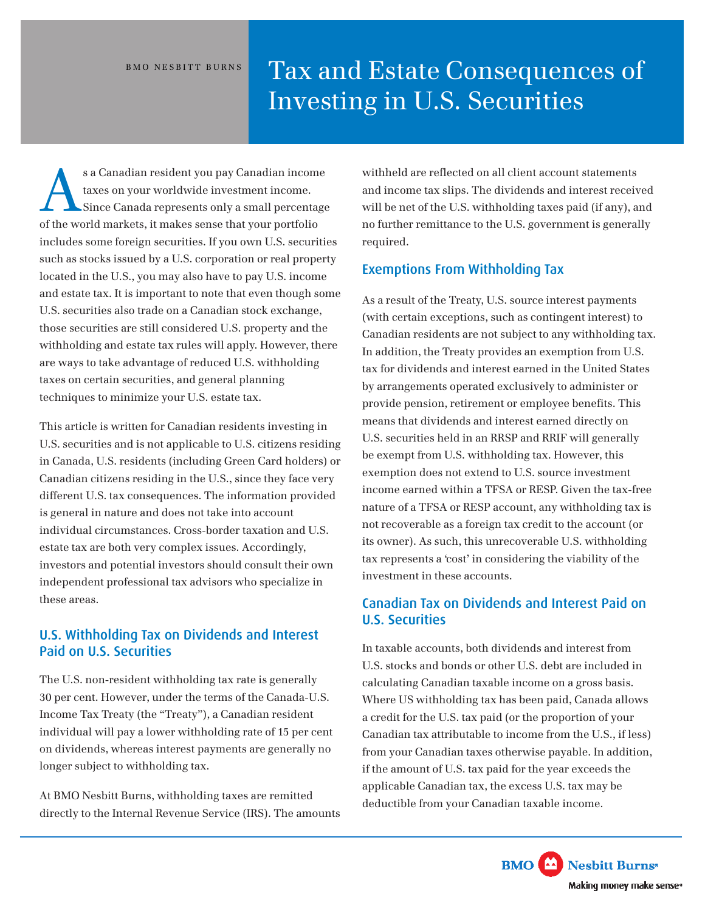# BMO NESBITT BURNS Tax and Estate Consequences of Investing in U.S. Securities

of the world markets, it makes sense that your portfolio s a Canadian resident you pay Canadian income<br>taxes on your worldwide investment income.<br>Since Canada represents only a small percentage taxes on your worldwide investment income. Since Canada represents only a small percentage includes some foreign securities. If you own U.S. securities such as stocks issued by a U.S. corporation or real property located in the U.S., you may also have to pay U.S. income and estate tax. It is important to note that even though some U.S. securities also trade on a Canadian stock exchange, those securities are still considered U.S. property and the withholding and estate tax rules will apply. However, there are ways to take advantage of reduced U.S. withholding taxes on certain securities, and general planning techniques to minimize your U.S. estate tax.

This article is written for Canadian residents investing in U.S. securities and is not applicable to U.S. citizens residing in Canada, U.S. residents (including Green Card holders) or Canadian citizens residing in the U.S., since they face very different U.S. tax consequences. The information provided is general in nature and does not take into account individual circumstances. Cross-border taxation and U.S. estate tax are both very complex issues. Accordingly, investors and potential investors should consult their own independent professional tax advisors who specialize in these areas.

# U.S. Withholding Tax on Dividends and Interest Paid on U.S. Securities

The U.S. non-resident withholding tax rate is generally 30 per cent. However, under the terms of the Canada-U.S. Income Tax Treaty (the "Treaty"), a Canadian resident individual will pay a lower withholding rate of 15 per cent on dividends, whereas interest payments are generally no longer subject to withholding tax.

At BMO Nesbitt Burns, withholding taxes are remitted directly to the Internal Revenue Service (IRS). The amounts withheld are reflected on all client account statements and income tax slips. The dividends and interest received will be net of the U.S. withholding taxes paid (if any), and no further remittance to the U.S. government is generally required.

### Exemptions From Withholding Tax

As a result of the Treaty, U.S. source interest payments (with certain exceptions, such as contingent interest) to Canadian residents are not subject to any withholding tax. In addition, the Treaty provides an exemption from U.S. tax for dividends and interest earned in the United States by arrangements operated exclusively to administer or provide pension, retirement or employee benefits. This means that dividends and interest earned directly on U.S. securities held in an RRSP and RRIF will generally be exempt from U.S. withholding tax. However, this exemption does not extend to U.S. source investment income earned within a TFSA or RESP. Given the tax-free nature of a TFSA or RESP account, any withholding tax is not recoverable as a foreign tax credit to the account (or its owner). As such, this unrecoverable U.S. withholding tax represents a 'cost' in considering the viability of the investment in these accounts.

# Canadian Tax on Dividends and Interest Paid on U.S. Securities

In taxable accounts, both dividends and interest from U.S. stocks and bonds or other U.S. debt are included in calculating Canadian taxable income on a gross basis. Where US withholding tax has been paid, Canada allows a credit for the U.S. tax paid (or the proportion of your Canadian tax attributable to income from the U.S., if less) from your Canadian taxes otherwise payable. In addition, if the amount of U.S. tax paid for the year exceeds the applicable Canadian tax, the excess U.S. tax may be deductible from your Canadian taxable income.

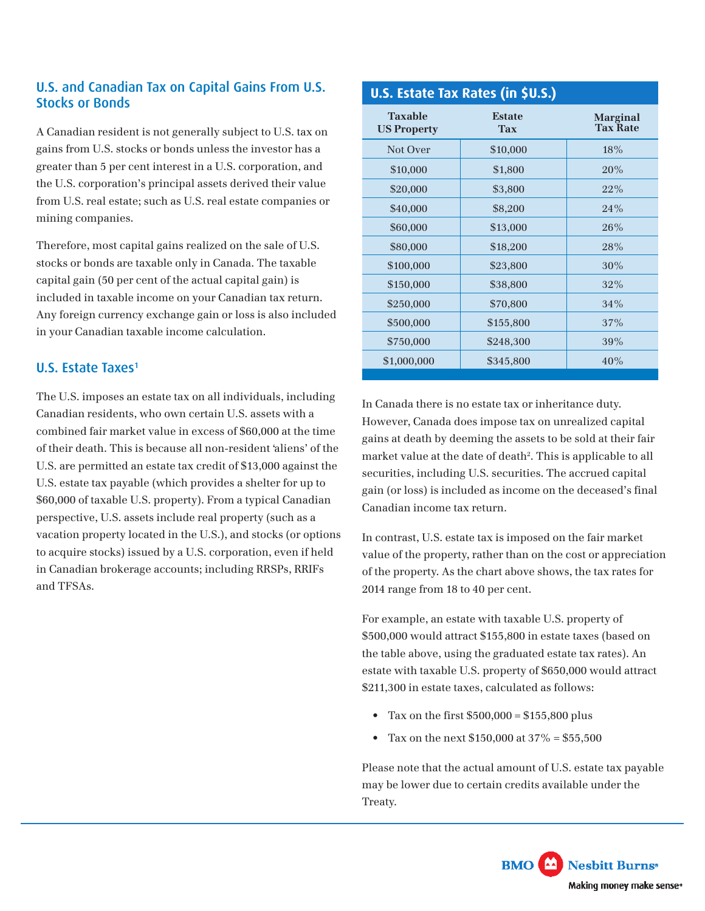# U.S. and Canadian Tax on Capital Gains From U.S. Stocks or Bonds

A Canadian resident is not generally subject to U.S. tax on gains from U.S. stocks or bonds unless the investor has a greater than 5 per cent interest in a U.S. corporation, and the U.S. corporation's principal assets derived their value from U.S. real estate; such as U.S. real estate companies or mining companies.

Therefore, most capital gains realized on the sale of U.S. stocks or bonds are taxable only in Canada. The taxable capital gain (50 per cent of the actual capital gain) is included in taxable income on your Canadian tax return. Any foreign currency exchange gain or loss is also included in your Canadian taxable income calculation.

# U.S. Estate Taxes<sup>1</sup>

The U.S. imposes an estate tax on all individuals, including Canadian residents, who own certain U.S. assets with a combined fair market value in excess of \$60,000 at the time of their death. This is because all non-resident 'aliens' of the U.S. are permitted an estate tax credit of \$13,000 against the U.S. estate tax payable (which provides a shelter for up to \$60,000 of taxable U.S. property). From a typical Canadian perspective, U.S. assets include real property (such as a vacation property located in the U.S.), and stocks (or options to acquire stocks) issued by a U.S. corporation, even if held in Canadian brokerage accounts; including RRSPs, RRIFs and TFSAs.

#### **U.S. Estate Tax Rates (in \$U.S.) Taxable US Property Estate Tax Marginal Tax Rate** Not Over \$10,000 18% \$10,000 \$1,800 20% \$20,000 \$3,800 22% \$40,000 \$8,200 \$8,200 \$60,000 \$13,000 26% \$80,000 \$18,200 28% \$100,000 \$23,800 \$23,800 \$150,000 \$38,800 32%  $$250,000$   $$70,800$   $34\%$ \$500,000 \$155,800 \$37%  $$750,000$   $$248,300$   $39\%$  $$1,000,000$   $$345,800$   $40\%$

In Canada there is no estate tax or inheritance duty. However, Canada does impose tax on unrealized capital gains at death by deeming the assets to be sold at their fair market value at the date of death<sup>2</sup>. This is applicable to all securities, including U.S. securities. The accrued capital gain (or loss) is included as income on the deceased's final Canadian income tax return.

In contrast, U.S. estate tax is imposed on the fair market value of the property, rather than on the cost or appreciation of the property. As the chart above shows, the tax rates for 2014 range from 18 to 40 per cent.

For example, an estate with taxable U.S. property of \$500,000 would attract \$155,800 in estate taxes (based on the table above, using the graduated estate tax rates). An estate with taxable U.S. property of \$650,000 would attract \$211,300 in estate taxes, calculated as follows:

- Tax on the first  $$500,000 = $155,800$  plus
- Tax on the next \$150,000 at  $37\% = $55,500$

Please note that the actual amount of U.S. estate tax payable may be lower due to certain credits available under the Treaty.

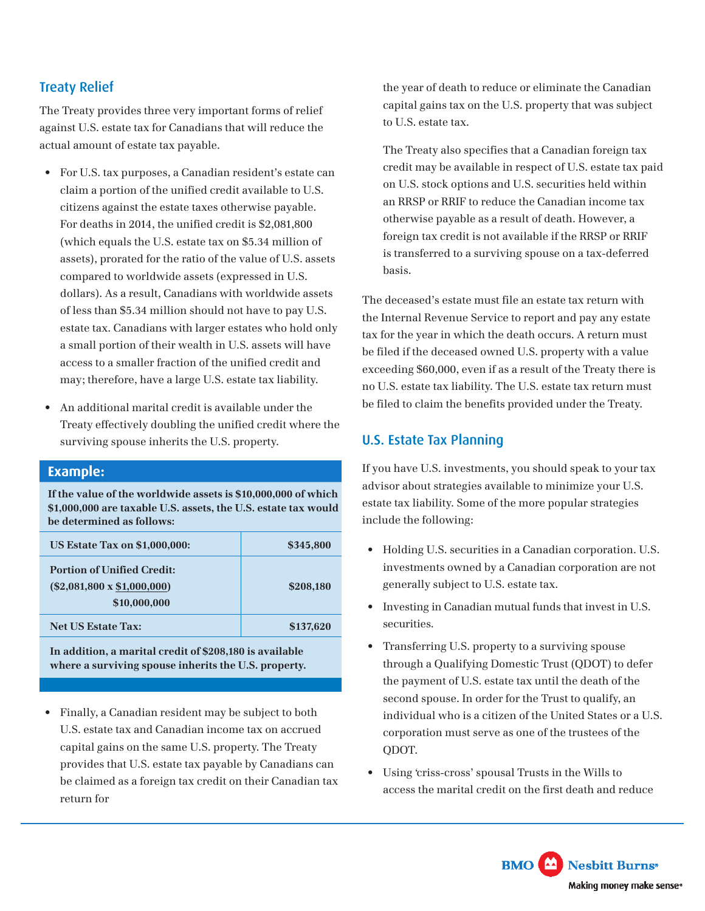# Treaty Relief

The Treaty provides three very important forms of relief against U.S. estate tax for Canadians that will reduce the actual amount of estate tax payable.

- For U.S. tax purposes, a Canadian resident's estate can claim a portion of the unified credit available to U.S. citizens against the estate taxes otherwise payable. For deaths in 2014, the unified credit is \$2,081,800 (which equals the U.S. estate tax on \$5.34 million of assets), prorated for the ratio of the value of U.S. assets compared to worldwide assets (expressed in U.S. dollars). As a result, Canadians with worldwide assets of less than \$5.34 million should not have to pay U.S. estate tax. Canadians with larger estates who hold only a small portion of their wealth in U.S. assets will have access to a smaller fraction of the unified credit and may; therefore, have a large U.S. estate tax liability.
- An additional marital credit is available under the Treaty effectively doubling the unified credit where the surviving spouse inherits the U.S. property.

### **Example:**

**If the value of the worldwide assets is \$10,000,000 of which \$1,000,000 are taxable U.S. assets, the U.S. estate tax would be determined as follows:**

| <b>US Estate Tax on \$1,000,000:</b>                                                    | \$345,800 |
|-----------------------------------------------------------------------------------------|-----------|
| <b>Portion of Unified Credit:</b><br>$(\$2,081,800 \times \$1,000,000)$<br>\$10,000,000 | \$208,180 |
| <b>Net US Estate Tax:</b>                                                               | \$137,620 |

**In addition, a marital credit of \$208,180 is available where a surviving spouse inherits the U.S. property.**

• Finally, a Canadian resident may be subject to both U.S. estate tax and Canadian income tax on accrued capital gains on the same U.S. property. The Treaty provides that U.S. estate tax payable by Canadians can be claimed as a foreign tax credit on their Canadian tax return for

the year of death to reduce or eliminate the Canadian capital gains tax on the U.S. property that was subject to U.S. estate tax.

The Treaty also specifies that a Canadian foreign tax credit may be available in respect of U.S. estate tax paid on U.S. stock options and U.S. securities held within an RRSP or RRIF to reduce the Canadian income tax otherwise payable as a result of death. However, a foreign tax credit is not available if the RRSP or RRIF is transferred to a surviving spouse on a tax-deferred basis.

The deceased's estate must file an estate tax return with the Internal Revenue Service to report and pay any estate tax for the year in which the death occurs. A return must be filed if the deceased owned U.S. property with a value exceeding \$60,000, even if as a result of the Treaty there is no U.S. estate tax liability. The U.S. estate tax return must be filed to claim the benefits provided under the Treaty.

# U.S. Estate Tax Planning

If you have U.S. investments, you should speak to your tax advisor about strategies available to minimize your U.S. estate tax liability. Some of the more popular strategies include the following:

- Holding U.S. securities in a Canadian corporation. U.S. investments owned by a Canadian corporation are not generally subject to U.S. estate tax.
- Investing in Canadian mutual funds that invest in U.S. securities.
- Transferring U.S. property to a surviving spouse through a Qualifying Domestic Trust (QDOT) to defer the payment of U.S. estate tax until the death of the second spouse. In order for the Trust to qualify, an individual who is a citizen of the United States or a U.S. corporation must serve as one of the trustees of the QDOT.
- Using 'criss-cross' spousal Trusts in the Wills to access the marital credit on the first death and reduce